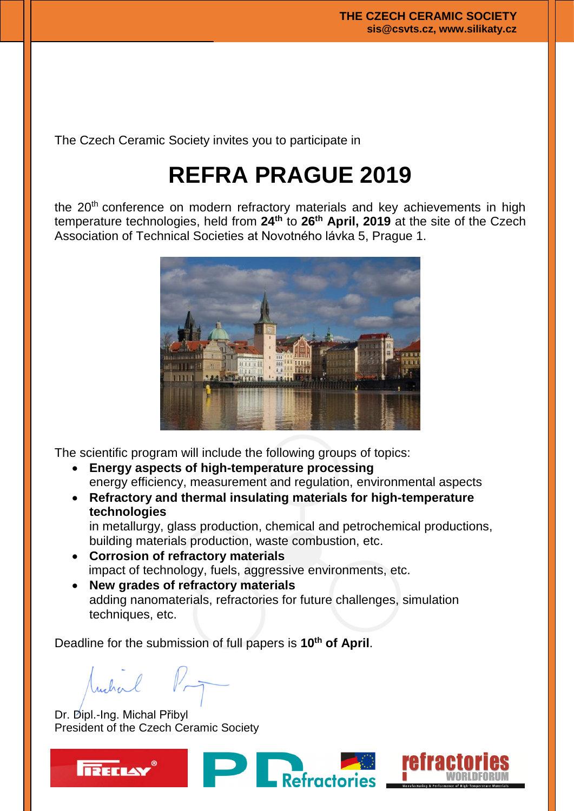The Czech Ceramic Society invites you to participate in

# **REFRA PRAGUE 2019**

the 20<sup>th</sup> conference on modern refractory materials and key achievements in high temperature technologies, held from **24th** to **26th April, 2019** at the site of the Czech Association of Technical Societies at Novotného lávka 5, Prague 1.



The scientific program will include the following groups of topics:

- **Energy aspects of high-temperature processing** energy efficiency, measurement and regulation, environmental aspects
- **Refractory and thermal insulating materials for high-temperature technologies**

in metallurgy, glass production, chemical and petrochemical productions, building materials production, waste combustion, etc.

Refractories

- **Corrosion of refractory materials** impact of technology, fuels, aggressive environments, etc.
- **New grades of refractory materials** adding nanomaterials, refractories for future challenges, simulation techniques, etc.

Deadline for the submission of full papers is **10th of April**.

Indral

Dr. Dipl.-Ing. Michal Přibyl President of the Czech Ceramic Society



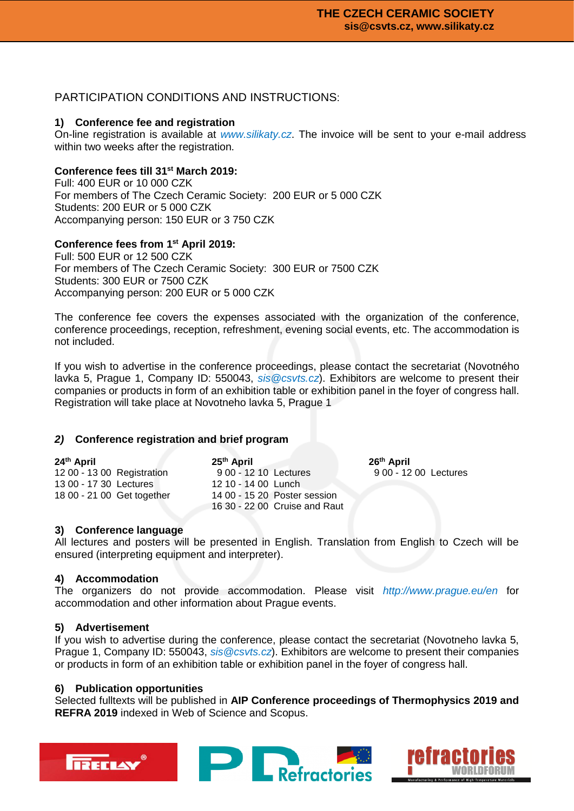# PARTICIPATION CONDITIONS AND INSTRUCTIONS:

## **1) Conference fee and registration**

On-line registration is available at *www.silikaty.cz*. The invoice will be sent to your e-mail address within two weeks after the registration.

## **Conference fees till 31st March 2019:**

Full: 400 EUR or 10 000 CZK For members of The Czech Ceramic Society: 200 EUR or 5 000 CZK Students: 200 EUR or 5 000 CZK Accompanying person: 150 EUR or 3 750 CZK

## **Conference fees from 1st April 2019:**

Full: 500 EUR or 12 500 CZK For members of The Czech Ceramic Society: 300 EUR or 7500 CZK Students: 300 EUR or 7500 CZK Accompanying person: 200 EUR or 5 000 CZK

The conference fee covers the expenses associated with the organization of the conference, conference proceedings, reception, refreshment, evening social events, etc. The accommodation is not included.

If you wish to advertise in the conference proceedings, please contact the secretariat (Novotného lavka 5, Prague 1, Company ID: 550043, *sis@csvts.cz*). Exhibitors are welcome to present their companies or products in form of an exhibition table or exhibition panel in the foyer of congress hall. Registration will take place at Novotneho lavka 5, Prague 1

#### *2)* **Conference registration and brief program**

| 24th April                 | 25 <sup>th</sup> April        | 26 <sup>th</sup> April |
|----------------------------|-------------------------------|------------------------|
| 12 00 - 13 00 Registration | 9 00 - 12 10 Lectures         | 9 00 - 12 00 Lectures  |
| 13 00 - 17 30 Lectures     | 12 10 - 14 00 Lunch           |                        |
| 18 00 - 21 00 Get together | 14 00 - 15 20 Poster session  |                        |
|                            | 16 30 - 22 00 Cruise and Raut |                        |

#### **3) Conference language**

All lectures and posters will be presented in English. Translation from English to Czech will be ensured (interpreting equipment and interpreter).

#### **4) Accommodation**

The organizers do not provide accommodation. Please visit *http://www.prague.eu/en* for accommodation and other information about Prague events.

#### **5) Advertisement**

If you wish to advertise during the conference, please contact the secretariat (Novotneho lavka 5, Prague 1, Company ID: 550043, *sis@csvts.cz*). Exhibitors are welcome to present their companies or products in form of an exhibition table or exhibition panel in the foyer of congress hall.

#### **6) Publication opportunities**

Selected fulltexts will be published in **AIP Conference proceedings of Thermophysics 2019 and REFRA 2019** indexed in Web of Science and Scopus.



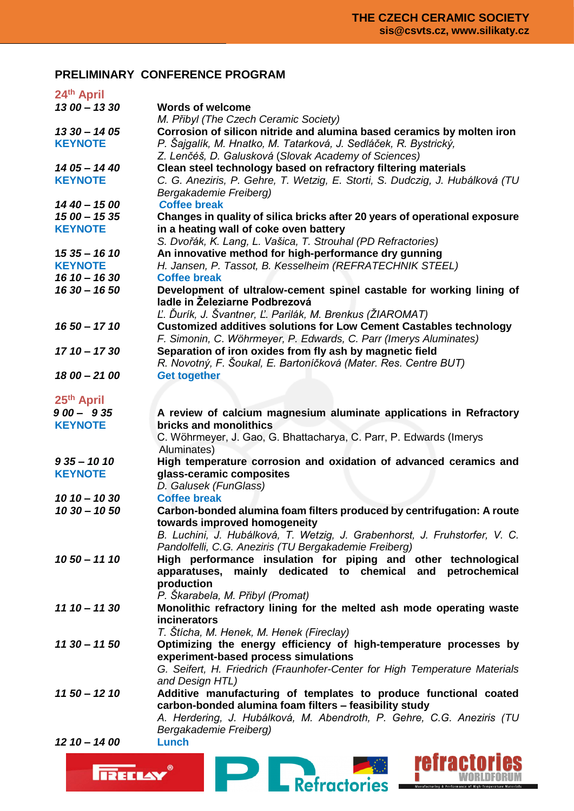# **PRELIMINARY CONFERENCE PROGRAM**

| 24th April                      |                                                                                                                                                                    |
|---------------------------------|--------------------------------------------------------------------------------------------------------------------------------------------------------------------|
| $1300 - 1330$                   | <b>Words of welcome</b>                                                                                                                                            |
|                                 | M. Přibyl (The Czech Ceramic Society)                                                                                                                              |
| $1330 - 1405$                   | Corrosion of silicon nitride and alumina based ceramics by molten iron                                                                                             |
| <b>KEYNOTE</b>                  | P. Šajgalík, M. Hnatko, M. Tatarková, J. Sedláček, R. Bystrický,<br>Z. Lenčéš, D. Galusková (Slovak Academy of Sciences)                                           |
| $1405 - 1440$                   | Clean steel technology based on refractory filtering materials                                                                                                     |
| <b>KEYNOTE</b>                  | C. G. Aneziris, P. Gehre, T. Wetzig, E. Storti, S. Dudczig, J. Hubálková (TU                                                                                       |
|                                 | Bergakademie Freiberg)                                                                                                                                             |
| $1440 - 1500$                   | <b>Coffee break</b>                                                                                                                                                |
| $1500 - 1535$<br><b>KEYNOTE</b> | Changes in quality of silica bricks after 20 years of operational exposure                                                                                         |
|                                 | in a heating wall of coke oven battery<br>S. Dvořák, K. Lang, L. Vašica, T. Strouhal (PD Refractories)                                                             |
| $1535 - 1610$                   | An innovative method for high-performance dry gunning                                                                                                              |
| <b>KEYNOTE</b>                  | H. Jansen, P. Tassot, B. Kesselheim (REFRATECHNIK STEEL)                                                                                                           |
| $1610 - 1630$                   | <b>Coffee break</b>                                                                                                                                                |
|                                 |                                                                                                                                                                    |
| $1630 - 1650$                   | Development of ultralow-cement spinel castable for working lining of<br>ladle in Zeleziarne Podbrezová<br>Ľ. Ďurík, J. Švantner, Ľ. Parilák, M. Brenkus (ŽIAROMAT) |
| $1650 - 1710$                   | <b>Customized additives solutions for Low Cement Castables technology</b><br>F. Simonin, C. Wöhrmeyer, P. Edwards, C. Parr (Imerys Aluminates)                     |
| $1710 - 1730$                   | Separation of iron oxides from fly ash by magnetic field<br>R. Novotný, F. Šoukal, E. Bartoníčková (Mater. Res. Centre BUT)                                        |
|                                 |                                                                                                                                                                    |
| 18 00 - 21 00                   | <b>Get together</b>                                                                                                                                                |
| 25 <sup>th</sup> April          |                                                                                                                                                                    |
| $900 - 935$                     | A review of calcium magnesium aluminate applications in Refractory                                                                                                 |
| <b>KEYNOTE</b>                  | bricks and monolithics<br>C. Wöhrmeyer, J. Gao, G. Bhattacharya, C. Parr, P. Edwards (Imerys<br>Aluminates)                                                        |
| $935 - 1010$                    | High temperature corrosion and oxidation of advanced ceramics and                                                                                                  |
| <b>KEYNOTE</b>                  | glass-ceramic composites                                                                                                                                           |
|                                 | D. Galusek (FunGlass)                                                                                                                                              |
| $1010 - 1030$                   | <b>Coffee break</b>                                                                                                                                                |
| $1030 - 1050$                   | Carbon-bonded alumina foam filters produced by centrifugation: A route<br>towards improved homogeneity                                                             |
|                                 | B. Luchini, J. Hubálková, T. Wetzig, J. Grabenhorst, J. Fruhstorfer, V. C.<br>Pandolfelli, C.G. Aneziris (TU Bergakademie Freiberg)                                |
| $1050 - 1110$                   | High performance insulation for piping and other technological                                                                                                     |
|                                 | apparatuses, mainly dedicated to chemical<br>and petrochemical                                                                                                     |
|                                 | production                                                                                                                                                         |
|                                 | P. Škarabela, M. Přibyl (Promat)                                                                                                                                   |
| $1110 - 1130$                   | Monolithic refractory lining for the melted ash mode operating waste                                                                                               |
|                                 | incinerators                                                                                                                                                       |
|                                 | T. Štícha, M. Henek, M. Henek (Fireclay)                                                                                                                           |
| $1130 - 1150$                   | Optimizing the energy efficiency of high-temperature processes by                                                                                                  |
|                                 | experiment-based process simulations                                                                                                                               |
|                                 | G. Seifert, H. Friedrich (Fraunhofer-Center for High Temperature Materials                                                                                         |
|                                 | and Design HTL)                                                                                                                                                    |
| $1150 - 1210$                   | Additive manufacturing of templates to produce functional coated                                                                                                   |
|                                 | carbon-bonded alumina foam filters - feasibility study                                                                                                             |
|                                 | A. Herdering, J. Hubálková, M. Abendroth, P. Gehre, C.G. Aneziris (TU                                                                                              |
|                                 | Bergakademie Freiberg)                                                                                                                                             |
| $12 10 - 14 00$                 | Lunch                                                                                                                                                              |
|                                 |                                                                                                                                                                    |